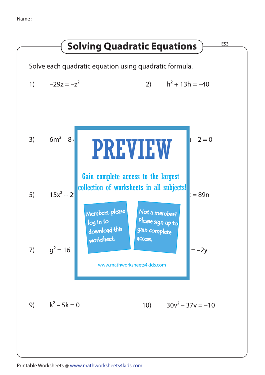